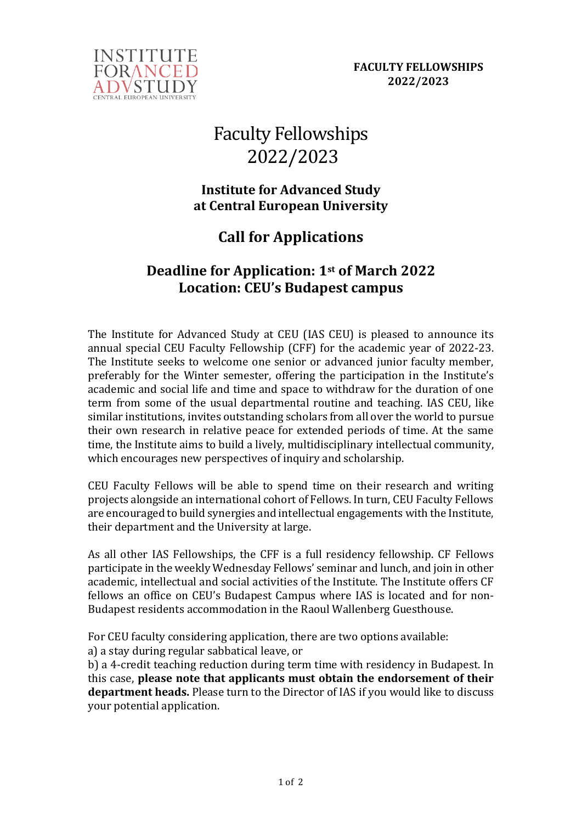

# Faculty Fellowships 2022/2023

### **Institute for Advanced Study at Central European University**

## **Call for Applications**

## **Deadline for Application: 1st of March 2022 Location: CEU's Budapest campus**

The Institute for Advanced Study at CEU (IAS CEU) is pleased to announce its annual special CEU Faculty Fellowship (CFF) for the academic year of 2022-23. The Institute seeks to welcome one senior or advanced junior faculty member, preferably for the Winter semester, offering the participation in the Institute's academic and social life and time and space to withdraw for the duration of one term from some of the usual departmental routine and teaching. IAS CEU, like similar institutions, invites outstanding scholars from all over the world to pursue their own research in relative peace for extended periods of time. At the same time, the Institute aims to build a lively, multidisciplinary intellectual community, which encourages new perspectives of inquiry and scholarship.

CEU Faculty Fellows will be able to spend time on their research and writing projects alongside an international cohort of Fellows. In turn, CEU Faculty Fellows are encouraged to build synergies and intellectual engagements with the Institute, their department and the University at large.

As all other IAS Fellowships, the CFF is a full residency fellowship. CF Fellows participate in the weekly Wednesday Fellows' seminar and lunch, and join in other academic, intellectual and social activities of the Institute. The Institute offers CF fellows an office on CEU's Budapest Campus where IAS is located and for non-Budapest residents accommodation in the Raoul Wallenberg Guesthouse.

For CEU faculty considering application, there are two options available:

a) a stay during regular sabbatical leave, or

b) a 4-credit teaching reduction during term time with residency in Budapest. In this case, **please note that applicants must obtain the endorsement of their department heads.** Please turn to the Director of IAS if you would like to discuss your potential application.